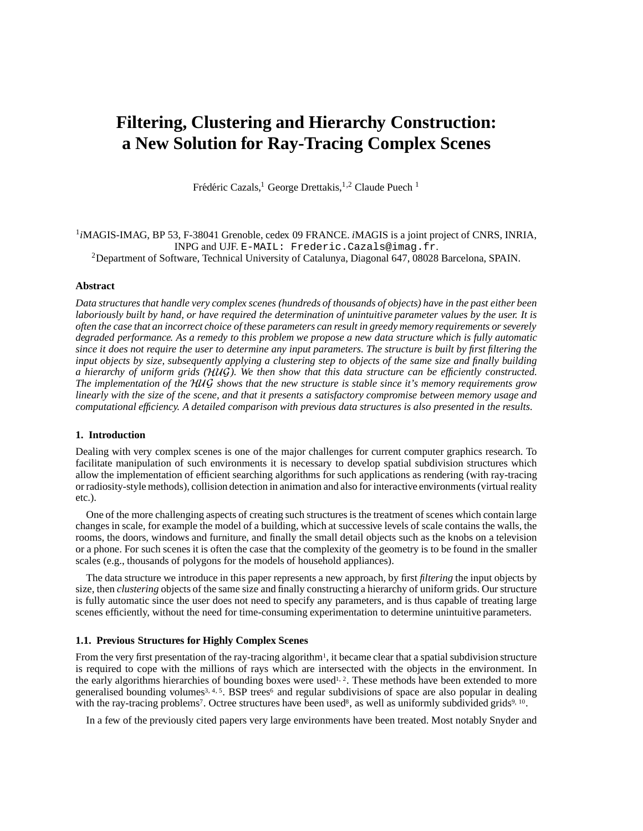# **Filtering, Clustering and Hierarchy Construction: a New Solution for Ray-Tracing Complex Scenes**

Frédéric Cazals,<sup>1</sup> George Drettakis,<sup>1,2</sup> Claude Puech<sup>1</sup>

<sup>1</sup>*i*MAGIS-IMAG, BP 53, F-38041 Grenoble, cedex 09 FRANCE. *iMAGIS* is a joint project of CNRS, INRIA, INPG and UJF. E-MAIL: Frederic.Cazals@imag.fr.

<sup>2</sup>Department of Software, Technical University of Catalunya, Diagonal 647, 08028 Barcelona, SPAIN.

## **Abstract**

Data structures that handle very complex scenes (hundreds of thousands of objects) have in the past either been laboriously built by hand, or have required the determination of unintuitive parameter values by the user. It is *often the case that an incorrect choice ofthese parameters can resultin greedy memory requirements orseverely* degraded performance. As a remedy to this problem we propose a new data structure which is fully automatic since it does not require the user to determine any input parameters. The structure is built by first filtering the input objects by size, subsequently applying a clustering step to objects of the same size and finally building a hierarchy of uniform grids (HUG). We then show that this data structure can be efficiently constructed. *The implementation of the* - *shows that the new structure is stable since it's memory requirements grow* linearly with the size of the scene, and that it presents a satisfactory compromise between memory usage and *computational efficiency. A detailed comparison with previous data structures is also presented in the results.*

#### **1. Introduction**

Dealing with very complex scenes is one of the major challenges for current computer graphics research. To facilitate manipulation of such environments it is necessary to develop spatial subdivision structures which allow the implementation of efficient searching algorithms for such applications as rendering (with ray-tracing or radiosity-style methods), collision detection in animation and also for interactive environments(virtual reality etc.).

One of the more challenging aspects of creating such structuresis the treatment of scenes which contain large changes in scale, for example the model of a building, which at successive levels of scale contains the walls, the rooms, the doors, windows and furniture, and finally the small detail objects such as the knobs on a television or a phone. For such scenes it is often the case that the complexity of the geometry is to be found in the smaller scales (e.g., thousands of polygons for the models of household appliances).

The data structure we introduce in this paper represents a new approach, by first *filtering* the input objects by size, then *clustering* objects of the same size andfinally constructing a hierarchy of uniform grids. Our structure is fully automatic since the user does not need to specify any parameters, and is thus capable of treating large scenes efficiently, without the need for time-consuming experimentation to determine unintuitive parameters.

# **1.1. Previous Structures for Highly Complex Scenes**

From the very first presentation of the ray-tracing algorithm<sup>1</sup>, it became clear that a spatial subdivision structure is required to cope with the millions of rays which are intersected with the objects in the environment. In the early algorithms hierarchies of bounding boxes were used<sup>1, 2</sup>. These methods have been extended to more generalised bounding volumes<sup>3, 4, 5</sup>. BSP trees<sup>6</sup> and regular subdivisions of space are also popular in dealing with the ray-tracing problems<sup>7</sup>. Octree structures have been used<sup>8</sup>, as well as uniformly subdivided grids<sup>9, 10</sup>.

In a few of the previously cited papers very large environments have been treated. Most notably Snyder and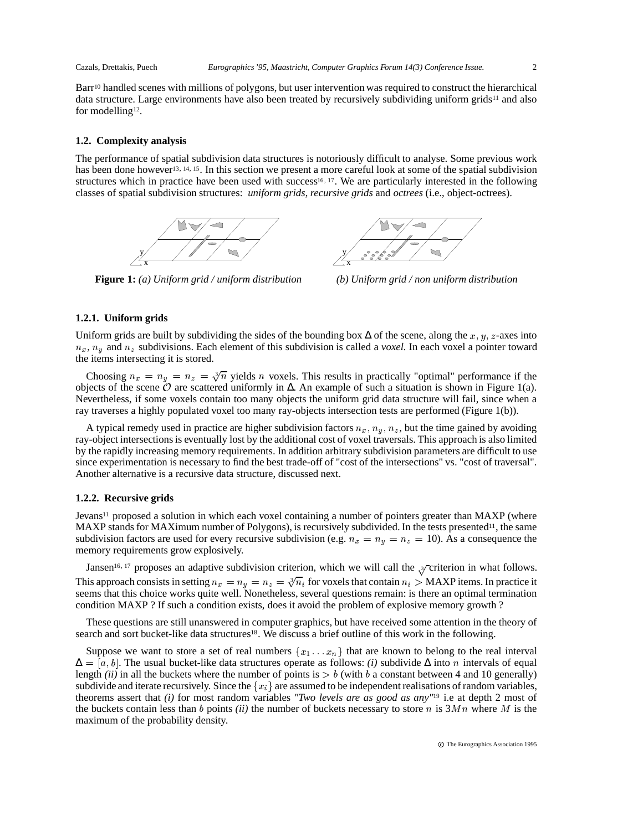Barr<sup>10</sup> handled scenes with millions of polygons, but user intervention was required to construct the hierarchical data structure. Large environments have also been treated by recursively subdividing uniform grids<sup>11</sup> and also for modelling<sup>12</sup>.

#### **1.2. Complexity analysis**

The performance of spatial subdivision data structures is notoriously difficult to analyse. Some previous work has been done however<sup>13, 14, 15</sup>. In this section we present a more careful look at some of the spatial subdivision structures which in practice have been used with success<sup>16, 17</sup>. We are particularly interested in the following classes of spatial subdivision structures: *uniform grids*, *recursive grids* and *octrees* (i.e., object-octrees).



**Figure 1:** *(a) Uniform grid / uniform distribution (b) Uniform grid / non uniform distribution*



## **1.2.1. Uniform grids**

Uniform grids are built by subdividing the sides of the bounding box  $\Delta$  of the scene, along the x, y, z-axes into  $n_x$ ,  $n_y$  and  $n_z$  subdivisions. Each element of this subdivision is called a *voxel*. In each voxel a pointer toward the items intersecting it is stored.

Choosing  $n_x = n_y = n_z = \sqrt[3]{n}$  yields *n* voxels. This results in practically "optimal" performance if the objects of the scene  $\hat{O}$  are scattered uniformly in  $\Delta$ . An example of such a situation is shown in Figure 1(a). Nevertheless, if some voxels contain too many objects the uniform grid data structure will fail, since when a ray traverses a highly populated voxel too many ray-objects intersection tests are performed (Figure 1(b)).

A typical remedy used in practice are higher subdivision factors  $n_x$ ,  $n_y$ ,  $n_z$ , but the time gained by avoiding ray-objectintersectionsis eventually lost by the additional cost of voxel traversals. This approach is also limited by the rapidly increasing memory requirements. In addition arbitrary subdivision parameters are difficult to use since experimentation is necessary to find the best trade-off of "cost of the intersections" vs. "cost of traversal". Another alternative is a recursive data structure, discussed next.

#### **1.2.2. Recursive grids**

Jevans<sup>11</sup> proposed a solution in which each voxel containing a number of pointers greater than MAXP (where MAXP stands for MAXimum number of Polygons), is recursively subdivided. In the tests presented<sup>11</sup>, the same subdivision factors are used for every recursive subdivision (e.g.  $n_x = n_y = n_z = 10$ ). As a consequence the memory requirements grow explosively.

Jansen<sup>16, 17</sup> proposes an adaptive subdivision criterion, which we will call the  $\sqrt{s}$  criterion in what follows. This approach consists in setting  $n_x = n_y = n_z = \sqrt[3]{n_i}$  for voxels that contain  $n_i >$  MAXP items. In practice it seems that this choice works quite well. Nonetheless, several questions remain: is there an optimal termination condition MAXP ? If such a condition exists, does it avoid the problem of explosive memory growth ?

These questions are still unanswered in computer graphics, but have received some attention in the theory of search and sort bucket-like data structures<sup>18</sup>. We discuss a brief outline of this work in the following.

Suppose we want to store a set of real numbers  $\{x_1 \ldots x_n\}$  that are known to belong to the real interval  $\Delta = [a, b]$ . The usual bucket-like data structures operate as follows: *(i)* subdivide  $\Delta$  into *n* intervals of equal length *(ii)* in all the buckets where the number of points is  $> b$  (with b a constant between 4 and 10 generally) subdivide and iterate recursively. Since the  $\{x_i\}$  are assumed to be independent realisations of random variables, theorems assert that *(i)* for most random variables *"Two levels are as good as any"*<sup>19</sup> i.e at depth 2 most of the buckets contain less than b points *(ii)* the number of buckets necessary to store n is  $3Mn$  where M is the maximum of the probability density.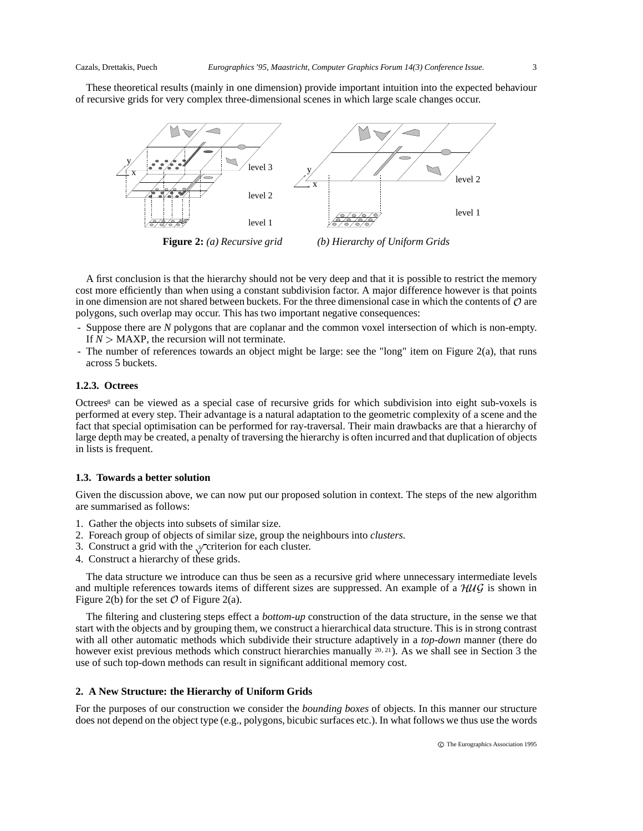These theoretical results (mainly in one dimension) provide important intuition into the expected behaviour of recursive grids for very complex three-dimensional scenes in which large scale changes occur.



A first conclusion is that the hierarchy should not be very deep and that it is possible to restrict the memory cost more efficiently than when using a constant subdivision factor. A major difference however is that points in one dimension are not shared between buckets. For the three dimensional case in which the contents of  $\mathcal O$  are polygons, such overlap may occur. This has two important negative consequences:

- Suppose there are *N* polygons that are coplanar and the common voxel intersection of which is non-empty. If  $N >$  MAXP, the recursion will not terminate.
- The number of references towards an object might be large: see the "long" item on Figure 2(a), that runs across 5 buckets.

# **1.2.3. Octrees**

Octrees<sup>8</sup> can be viewed as a special case of recursive grids for which subdivision into eight sub-voxels is performed at every step. Their advantage is a natural adaptation to the geometric complexity of a scene and the fact that special optimisation can be performed for ray-traversal. Their main drawbacks are that a hierarchy of large depth may be created, a penalty of traversing the hierarchy is often incurred and that duplication of objects in lists is frequent.

# **1.3. Towards a better solution**

Given the discussion above, we can now put our proposed solution in context. The steps of the new algorithm are summarised as follows:

- 1. Gather the objects into subsets of similar size.
- 2. Foreach group of objects of similar size, group the neighbours into *clusters.*
- 3. Construct a grid with the  $\frac{3}{2}$  criterion for each cluster.
- 4. Construct a hierarchy of these grids.

The data structure we introduce can thus be seen as a recursive grid where unnecessary intermediate levels and multiple references towards items of different sizes are suppressed. An example of a  $H U G$  is shown in Figure 2(b) for the set  $\mathcal O$  of Figure 2(a).

The filtering and clustering steps effect a *bottom-up* construction of the data structure, in the sense we that start with the objects and by grouping them, we construct a hierarchical data structure. This is in strong contrast with all other automatic methods which subdivide their structure adaptively in a *top-down* manner (there do however exist previous methods which construct hierarchies manually  $^{20, 21}$ . As we shall see in Section 3 the use of such top-down methods can result in significant additional memory cost.

# **2. A New Structure: the Hierarchy of Uniform Grids**

For the purposes of our construction we consider the *bounding boxes* of objects. In this manner our structure does not depend on the object type (e.g., polygons, bicubic surfaces etc.). In what follows we thus use the words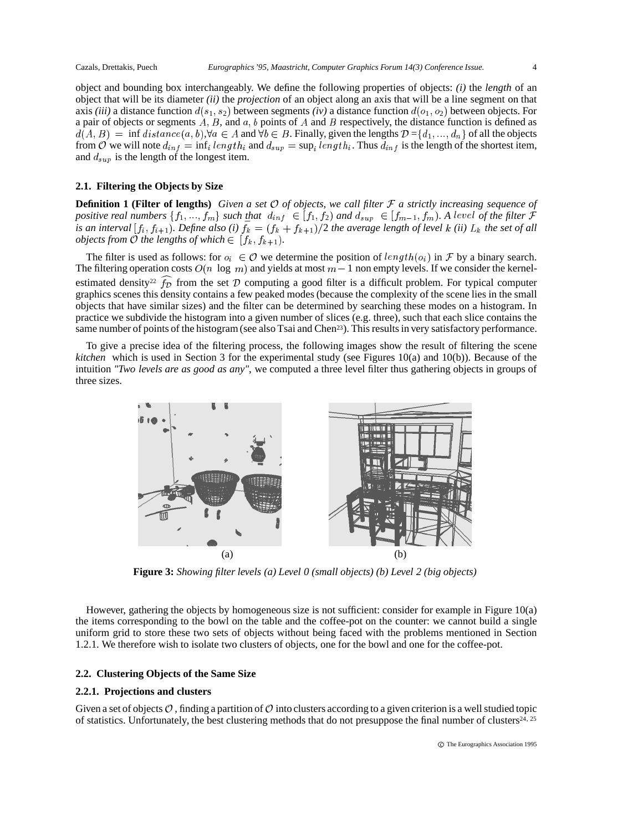object and bounding box interchangeably. We define the following properties of objects: *(i)* the *length* of an object that will be its diameter *(ii)* the *projection* of an object along an axis that will be a line segment on that axis *(iii)* a distance function  $d(s_1, s_2)$  between segments *(iv)* a distance function  $d(o_1, o_2)$  between objects. For a pair of objects or segments A, B, and  $a, b$  points of A and B respectively, the distance function is defined as  $d(A, B) = \inf distance(a, b)$ , $\forall a \in A$  and  $\forall b \in B$ . Finally, given the lengths  $\mathcal{D} = \{d_1, ..., d_n\}$  of all the objects from  $\mathcal O$  we will note  $d_{inf} = \inf_i length_i$  and  $d_{sup} = \sup_i length_i$ . Thus  $d_{inf}$  is the length of the shortest item, and  $d_{sup}$  is the length of the longest item.

### **2.1. Filtering the Objects by Size**

**Definition 1 (Filter of lengths)** Given a set  $\mathcal O$  of objects, we call filter  $\mathcal F$  a strictly increasing sequence of positive real numbers  $\{f_1, ..., f_m\}$  such that  $d_{inf} \in [f_1, f_2)$  and  $d_{sup} \in [f_{m-1}, f_m)$ . A level of the filter  $\mathcal F$ is an interval  $[f_i, f_{i+1})$ . Define also (i)  $\bar{f}_k = (f_k + f_{k+1})/2$  the average length of level k (ii)  $L_k$  the set of all *objects from*  $\mathcal O$  *the lengths of which*  $\in$   $[f_k, f_{k+1})$ .

The filter is used as follows: for  $o_i \in \mathcal{O}$  we determine the position of  $length(o_i)$  in F by a binary search. The filtering operation costs  $O(n \log m)$  and yields at most  $m-1$  non empty levels. If we consider the kernelestimated density<sup>22</sup>  $f_p$  from the set D computing a good filter is a difficult problem. For typical computer graphics scenes this density contains a few peaked modes (because the complexity of the scene lies in the small objects that have similar sizes) and the filter can be determined by searching these modes on a histogram. In practice we subdivide the histogram into a given number of slices (e.g. three), such that each slice contains the same number of points of the histogram (see also Tsai and Chen<sup>23</sup>). This results in very satisfactory performance.

To give a precise idea of the filtering process, the following images show the result of filtering the scene *kitchen* which is used in Section 3 for the experimental study (see Figures 10(a) and 10(b)). Because of the intuition *"Two levels are as good as any"*, we computed a three level filter thus gathering objects in groups of three sizes.



**Figure 3:** *Showing filter levels (a) Level 0 (small objects) (b) Level 2 (big objects)*

However, gathering the objects by homogeneous size is not sufficient: consider for example in Figure 10(a) the items corresponding to the bowl on the table and the coffee-pot on the counter: we cannot build a single uniform grid to store these two sets of objects without being faced with the problems mentioned in Section 1.2.1. We therefore wish to isolate two clusters of objects, one for the bowl and one for the coffee-pot.

# **2.2. Clustering Objects of the Same Size**

## **2.2.1. Projections and clusters**

Given a set of objects  $O$ , finding a partition of  $O$  into clusters according to a given criterion is a well studied topic of statistics. Unfortunately, the best clustering methods that do not presuppose the final number of clusters<sup>24, 25</sup>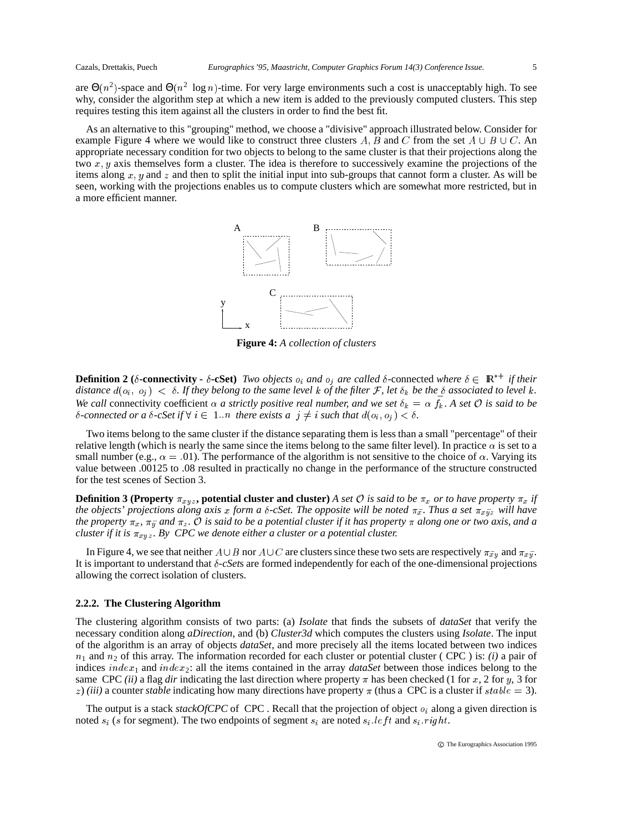are  $\Theta(n^2)$ -space and  $\Theta(n^2 \log n)$ -time. For very large environments such a cost is unacceptably high. To see why, consider the algorithm step at which a new item is added to the previously computed clusters. This step requires testing this item against all the clusters in order to find the best fit.

As an alternative to this "grouping" method, we choose a "divisive" approach illustrated below. Consider for example Figure 4 where we would like to construct three clusters A, B and C from the set  $A \cup B \cup C$ . An appropriate necessary condition for two objects to belong to the same cluster is that their projections along the two  $x, y$  axis themselves form a cluster. The idea is therefore to successively examine the projections of the items along  $x$ ,  $y$  and  $z$  and then to split the initial input into sub-groups that cannot form a cluster. As will be seen, working with the projections enables us to compute clusters which are somewhat more restricted, but in a more efficient manner.



**Figure 4:** *A collection of clusters*

**Definition 2** ( $\delta$ -connectivity -  $\delta$ -cSet) *Two objects*  $o_i$  *and*  $o_j$  *are called*  $\delta$ -connected *where*  $\delta \in \mathbb{R}^{*+}$  *if their* distance  $d(o_i, o_j) < \delta$ . If they belong to the same level k of the filter F, let  $\delta_k$  be the  $\delta$  associated to level k. We call connectivity coefficient  $\alpha$  a strictly positive real number, and we set  $\delta_k = \alpha \bar{f}_k$ . A set  $\mathcal O$  is said to be  $\delta$ -connected or a  $\delta$ -cSet if  $\forall i \in [1..n]$  there exists a  $j \neq i$  such that  $d(o_i, o_j) < \delta$ .

Two items belong to the same cluster if the distance separating them is less than a small "percentage" of their relative length (which is nearly the same since the items belong to the same filter level). In practice  $\alpha$  is set to a small number (e.g.,  $\alpha = .01$ ). The performance of the algorithm is not sensitive to the choice of  $\alpha$ . Varying its value between .00125 to .08 resulted in practically no change in the performance of the structure constructed for the test scenes of Section 3.

**Definition 3 (Property**  $\pi_{xyz}$ , **potential cluster and cluster)** A set O is said to be  $\pi_x$  or to have property  $\pi_x$  if the objects' projections along axis x form a  $\delta$ -cSet. The opposite will be noted  $\pi_{\bar{x}}$ . Thus a set  $\pi_{x\bar{y}z}$  will have the property  $\pi_x$ ,  $\pi_{\bar{y}}$  and  $\pi_z$ .  ${\cal O}$  is said to be a potential cluster if it has property  $\pi$  along one or two axis, and a *cluster* if it is  $\pi_{xyz}$ . By CPC we denote either a cluster or a potential cluster.

In Figure 4, we see that neither  $A\cup B$  nor  $A\cup C$  are clusters since these two sets are respectively  $\pi_{\bar{x}y}$  and  $\pi_{x\bar{y}}$ . It is important to understand that  $\delta$ -*cSet*s are formed independently for each of the one-dimensional projections allowing the correct isolation of clusters.

#### **2.2.2. The Clustering Algorithm**

The clustering algorithm consists of two parts: (a) *Isolate* that finds the subsets of *dataSet* that verify the necessary condition along *aDirection*, and (b) *Cluster3d* which computes the clusters using *Isolate*. The input of the algorithm is an array of objects *dataSet*, and more precisely all the items located between two indices  $n_1$  and  $n_2$  of this array. The information recorded for each cluster or potential cluster (CPC) is: *(i)* a pair of indices  $index_1$  and  $index_2$ : all the items contained in the array *dataSet* between those indices belong to the same CPC *(ii)* a flag *dir* indicating the last direction where property  $\pi$  has been checked (1 for x, 2 for y, 3 for  $z$ ) *(iii)* a counter *stable* indicating how many directions have property  $\pi$  (thus a CPC is a cluster if  $stable = 3$ ).

The output is a stack *stackOfCPC* of CPC. Recall that the projection of object  $o_i$  along a given direction is noted  $s_i$  (s for segment). The two endpoints of segment  $s_i$  are noted  $s_i$  left and  $s_i$  right.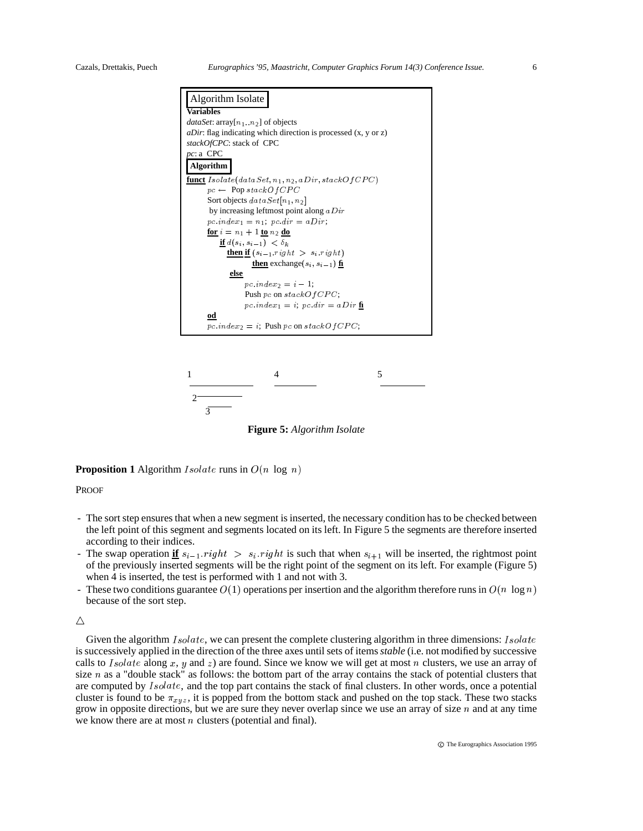



**Figure 5:** *Algorithm Isolate*

**Proposition 1** Algorithm  $Isolate$  runs in  $O(n \log n)$ <sup>7</sup>

#### PROOF

- The sort step ensures that when a new segment is inserted, the necessary condition has to be checked between the left point of this segment and segments located on its left. In Figure 5 the segments are therefore inserted according to their indices.
- The swap operation  $\mathbf{if} s_{i-1}$  right  $\geq s_i$  right is such that when  $s_{i+1}$  will be inserted, the rightmost point of the previously inserted segments will be the right point of the segment on its left. For example (Figure 5) when 4 is inserted, the test is performed with 1 and not with 3.
- These two conditions guarantee  $O(1)$  operations per insertion and the algorithm therefore runs in  $O(n \log n)$ <sup>7</sup> because of the sort step.

#### $\triangle$

Given the algorithm  $Isolate$ , we can present the complete clustering algorithm in three dimensions:  $Isolate$ is successively applied in the direction of the three axes until sets of items*stable* (i.e. not modified by successive calls to  $Isolate$  along x, y and z) are found. Since we know we will get at most n clusters, we use an array of size *n* as a "double stack" as follows: the bottom part of the array contains the stack of potential clusters that are computed by  $Isolate$ , and the top part contains the stack of final clusters. In other words, once a potential cluster is found to be  $\pi_{xyz}$ , it is popped from the bottom stack and pushed on the top stack. These two stacks grow in opposite directions, but we are sure they never overlap since we use an array of size  $n$  and at any time we know there are at most  $n$  clusters (potential and final).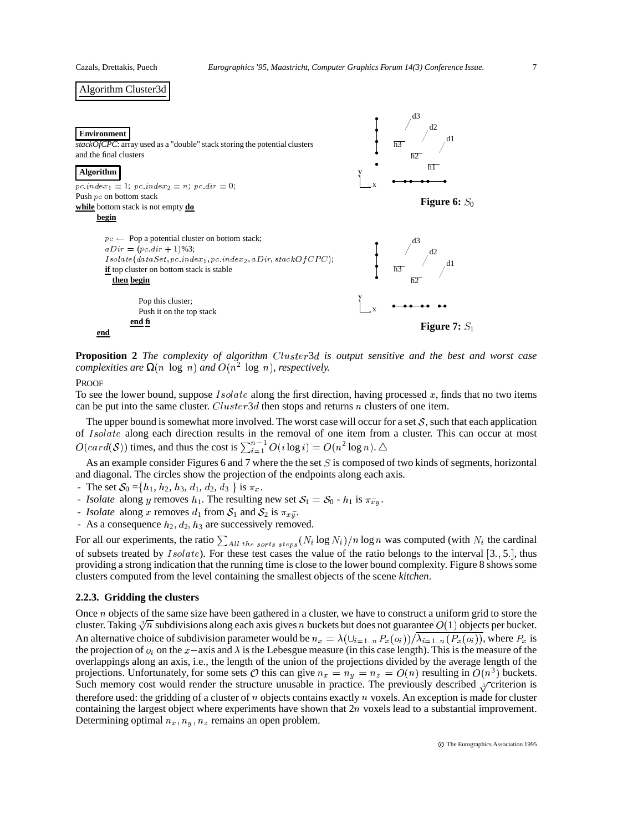#### Algorithm Cluster3d



**Proposition 2** The complexity of algorithm Cluster3d is output sensitive and the best and worst case *complexities are*  $\Omega(n \log n)$  *and*  $O(n^2 \log n)$ *, respectively.* 

#### PROOF

To see the lower bound, suppose  $Isolate$  along the first direction, having processed x, finds that no two items can be put into the same cluster.  $Cluster3d$  then stops and returns n clusters of one item.

The upper bound is somewhat more involved. The worst case will occur for a set  $S$ , such that each application of Isolate along each direction results in the removal of one item from a cluster. This can occur at most  $O(\text{card}(\mathcal{S}))$  times, and thus the cost is  $\sum_{i=1}^{n-1} O(i \log i) = O(n^2 \log n)$ .  $\triangle$ 

As an example consider Figures 6 and 7 where the the set  $S$  is composed of two kinds of segments, horizontal and diagonal. The circles show the projection of the endpoints along each axis.

- The set  $S_0 = \{h_1, h_2, h_3, d_1, d_2, d_3\}$  is  $\pi_x$ .

- *Isolate* along y removes  $h_1$ . The resulting new set  $S_1 = S_0 - h_1$  is  $\pi_{\bar{x}y}$ .

- *Isolate* along x removes  $d_1$  from  $S_1$  and  $S_2$  is  $\pi_{x\bar{y}}$ .
- As a consequence  $h_2$ ,  $d_2$ ,  $h_3$  are successively removed.

For all our experiments, the ratio  $\sum_{i} A_{i} I_{i} t_{i} h_{e}$  sorts stens</sub>  $(N_i \log N_i)/n \log n$  was computed (with  $N_i$  the cardinal of subsets treated by  $Isolate$ . For these test cases the value of the ratio belongs to the interval [3., 5.], thus providing a strong indication that the running time is close to the lower bound complexity.Figure 8 showssome clusters computed from the level containing the smallest objects of the scene *kitchen*.

#### **2.2.3. Gridding the clusters**

Once  $n$  objects of the same size have been gathered in a cluster, we have to construct a uniform grid to store the cluster. Taking  $\sqrt[3]{n}$  subdivisions along each axis gives n buckets but does not guarantee  $O(1)$  objects per bucket. An alternative choice of subdivision parameter would be  $n_x = \lambda(\cup_{i=1...n} P_x(o_i))/\lambda_{i=1...n}(P_x(o_i))$ , where  $P_x$  is the projection of  $o_i$  on the x-axis and  $\lambda$  is the Lebesgue measure (in this case length). This is the measure of the overlappings along an axis, i.e., the length of the union of the projections divided by the average length of the projections. Unfortunately, for some sets O this can give  $n_x = n_y = n_z = O(n)$  resulting in  $O(n^3)$  buckets. Such memory cost would render the structure unusable in practice. The previously described  $\sqrt{s}$  criterion is therefore used: the gridding of a cluster of  $n$  objects contains exactly  $n$  voxels. An exception is made for cluster containing the largest object where experiments have shown that  $2n$  voxels lead to a substantial improvement. Determining optimal  $n_x$ ,  $n_y$ ,  $n_z$  remains an open problem.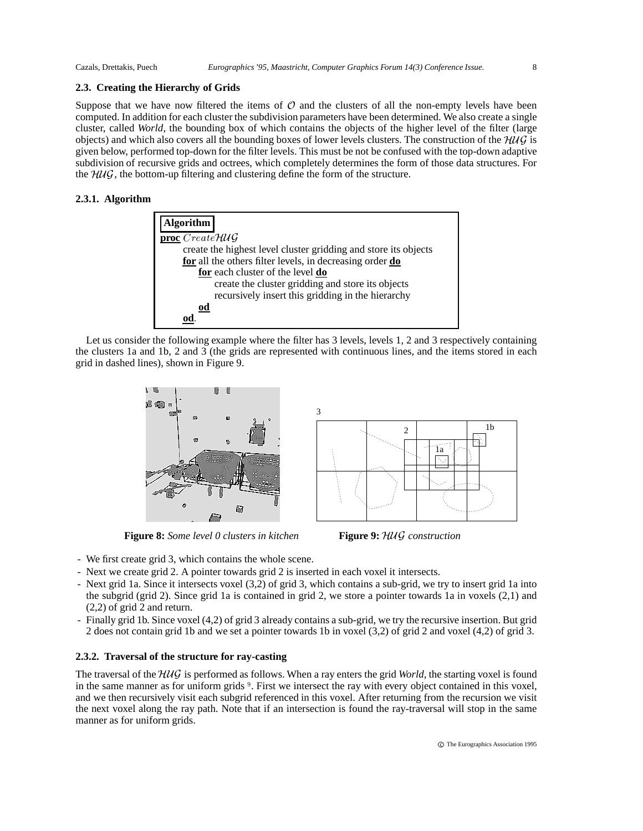## **2.3. Creating the Hierarchy of Grids**

Suppose that we have now filtered the items of  $\mathcal O$  and the clusters of all the non-empty levels have been computed. In addition for each cluster the subdivision parameters have been determined. We also create a single cluster, called *World*, the bounding box of which contains the objects of the higher level of the filter (large objects) and which also covers all the bounding boxes of lower levels clusters. The construction of the  $H U G$  is given below, performed top-down for the filter levels. This must be not be confused with the top-down adaptive subdivision of recursive grids and octrees, which completely determines the form of those data structures. For the  $HUG$ , the bottom-up filtering and clustering define the form of the structure.

# **2.3.1. Algorithm**

| <b>Algorithm</b>                                                |
|-----------------------------------------------------------------|
| <b>proc</b> $CreateHUG$                                         |
| create the highest level cluster gridding and store its objects |
| for all the others filter levels, in decreasing order do        |
| for each cluster of the level do                                |
| create the cluster gridding and store its objects               |
| recursively insert this gridding in the hierarchy               |
| od                                                              |
|                                                                 |

Let us consider the following example where the filter has 3 levels, levels 1, 2 and 3 respectively containing the clusters 1a and 1b, 2 and 3 (the grids are represented with continuous lines, and the items stored in each grid in dashed lines), shown in Figure 9.



**Figure 8:** *Some level 0 clusters in kitchen*



**Figure 9:**  $HUG$  construction

- We first create grid 3, which contains the whole scene.
- Next we create grid 2. A pointer towards grid 2 is inserted in each voxel it intersects.
- Next grid 1a. Since it intersects voxel (3,2) of grid 3, which contains a sub-grid, we try to insert grid 1a into the subgrid (grid 2). Since grid 1a is contained in grid 2, we store a pointer towards 1a in voxels (2,1) and (2,2) of grid 2 and return.
- Finally grid 1b.Since voxel (4,2) of grid 3 already contains a sub-grid, we try the recursive insertion. But grid 2 does not contain grid 1b and we set a pointer towards 1b in voxel (3,2) of grid 2 and voxel (4,2) of grid 3.

# **2.3.2. Traversal of the structure for ray-casting**

The traversal of the  $H U G$  is performed as follows. When a ray enters the grid *World*, the starting voxel is found in the same manner as for uniform grids <sup>9</sup> . First we intersect the ray with every object contained in this voxel, and we then recursively visit each subgrid referenced in this voxel. After returning from the recursion we visit the next voxel along the ray path. Note that if an intersection is found the ray-traversal will stop in the same manner as for uniform grids.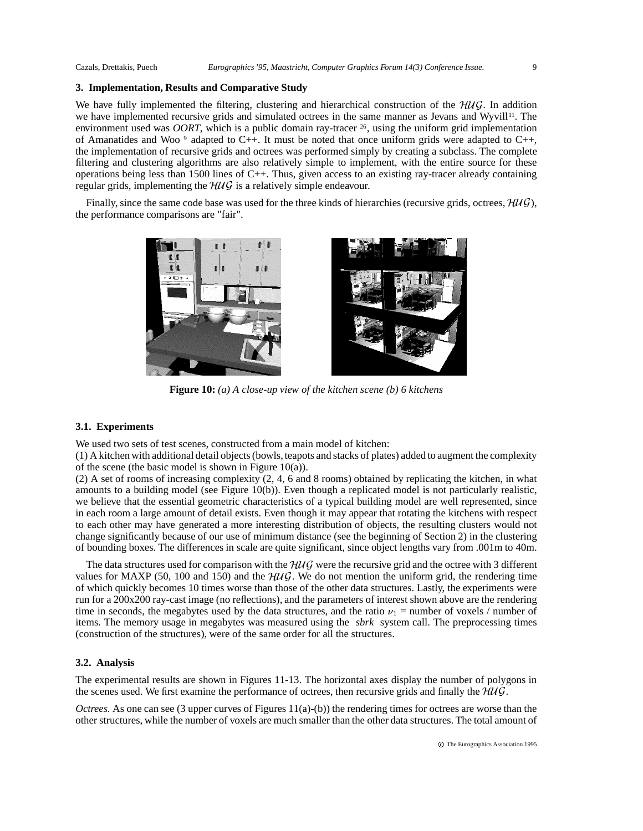#### **3. Implementation, Results and Comparative Study**

We have fully implemented the filtering, clustering and hierarchical construction of the  $H U G$ . In addition we have implemented recursive grids and simulated octrees in the same manner as Jevans and Wyvill<sup>11</sup>. The environment used was *OORT*, which is a public domain ray-tracer <sup>26</sup>, using the uniform grid implementation of Amanatides and Woo  $9$  adapted to C++. It must be noted that once uniform grids were adapted to C++, the implementation of recursive grids and octrees was performed simply by creating a subclass. The complete filtering and clustering algorithms are also relatively simple to implement, with the entire source for these operations being less than 1500 lines of C++. Thus, given access to an existing ray-tracer already containing regular grids, implementing the  $H U G$  is a relatively simple endeavour.

Finally, since the same code base was used for the three kinds of hierarchies (recursive grids, octrees,  $H U \mathcal{G}$ ), the performance comparisons are "fair".



**Figure 10:** *(a) A close-up view of the kitchen scene (b) 6 kitchens*

## **3.1. Experiments**

We used two sets of test scenes, constructed from a main model of kitchen:

(1) A kitchen with additional detail objects(bowls,teapots and stacks of plates) added to augmentthe complexity of the scene (the basic model is shown in Figure 10(a)).

(2) A set of rooms of increasing complexity (2, 4, 6 and 8 rooms) obtained by replicating the kitchen, in what amounts to a building model (see Figure 10(b)). Even though a replicated model is not particularly realistic, we believe that the essential geometric characteristics of a typical building model are well represented, since in each room a large amount of detail exists. Even though it may appear that rotating the kitchens with respect to each other may have generated a more interesting distribution of objects, the resulting clusters would not change significantly because of our use of minimum distance (see the beginning of Section 2) in the clustering of bounding boxes. The differences in scale are quite significant, since object lengths vary from .001m to 40m.

The data structures used for comparison with the  $H U G$  were the recursive grid and the octree with 3 different values for MAXP (50, 100 and 150) and the  $H \cup G$ . We do not mention the uniform grid, the rendering time of which quickly becomes 10 times worse than those of the other data structures. Lastly, the experiments were run for a 200x200 ray-cast image (no reflections), and the parameters of interest shown above are the rendering time in seconds, the megabytes used by the data structures, and the ratio  $\nu_1$  = number of voxels / number of items. The memory usage in megabytes was measured using the *sbrk* system call. The preprocessing times (construction of the structures), were of the same order for all the structures.

## **3.2. Analysis**

The experimental results are shown in Figures 11-13. The horizontal axes display the number of polygons in the scenes used. We first examine the performance of octrees, then recursive grids and finally the  $H U G$ .

*Octrees*. As one can see (3 upper curves of Figures 11(a)-(b)) the rendering times for octrees are worse than the other structures, while the number of voxels are much smaller than the other data structures. The total amount of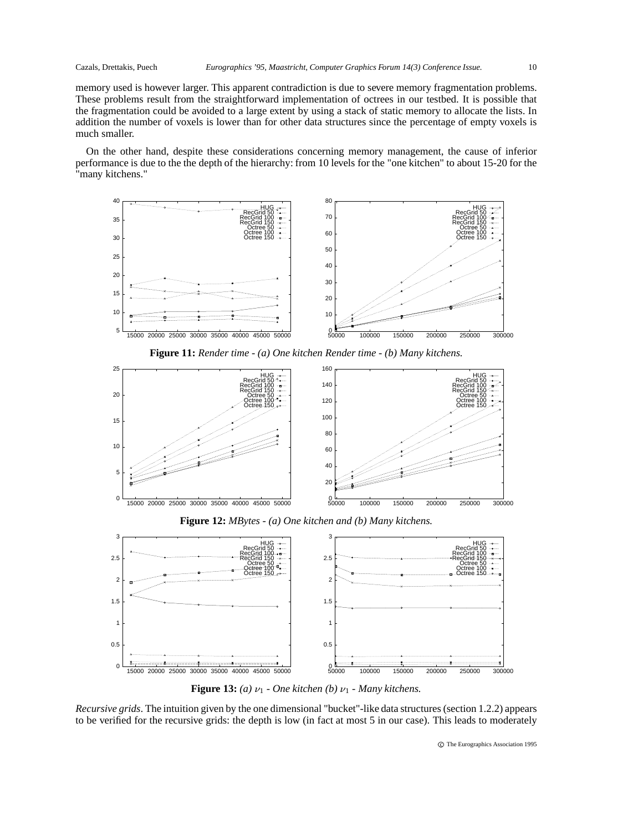memory used is however larger. This apparent contradiction is due to severe memory fragmentation problems. These problems result from the straightforward implementation of octrees in our testbed. It is possible that the fragmentation could be avoided to a large extent by using a stack of static memory to allocate the lists. In addition the number of voxels is lower than for other data structures since the percentage of empty voxels is much smaller.

On the other hand, despite these considerations concerning memory management, the cause of inferior performance is due to the the depth of the hierarchy: from 10 levels for the "one kitchen" to about 15-20 for the "many kitchens."



**Figure 11:** *Render time - (a) One kitchen Render time - (b) Many kitchens.*



**Figure 12:** *MBytes - (a) One kitchen and (b) Many kitchens.*



**Figure 13:** (a)  $\nu_1$  *- One kitchen* (b)  $\nu_1$  *- Many kitchens.* 

*Recursive grids*. The intuition given by the one dimensional "bucket"-like data structures (section 1.2.2) appears to be verified for the recursive grids: the depth is low (in fact at most 5 in our case). This leads to moderately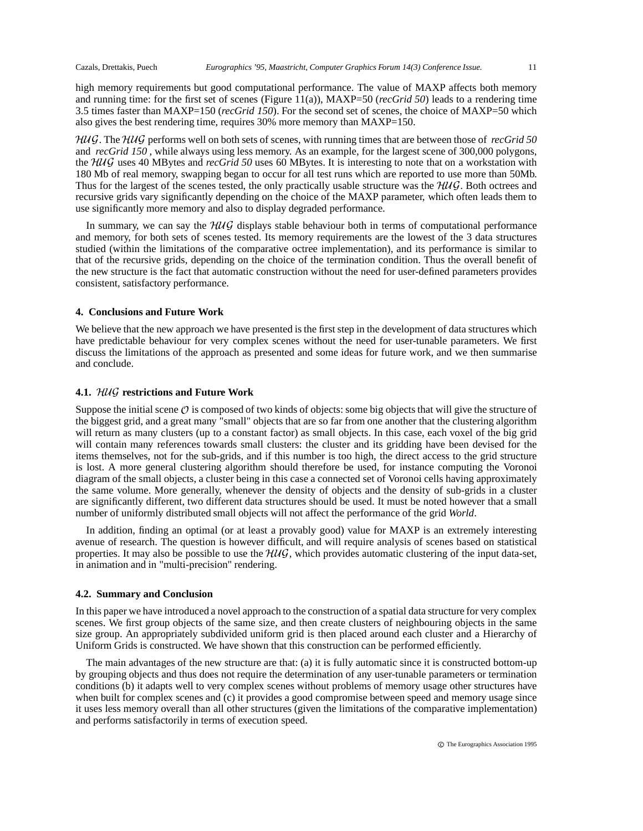HUG. The HUG performs well on both sets of scenes, with running times that are between those of *recGrid* 50 and *recGrid 150* , while always using less memory. As an example, for the largest scene of 300,000 polygons, the  $H U G$  uses 40 MBytes and *recGrid* 50 uses 60 MBytes. It is interesting to note that on a workstation with 180 Mb of real memory, swapping began to occur for all test runs which are reported to use more than 50Mb. Thus for the largest of the scenes tested, the only practically usable structure was the  $H U G$ . Both octrees and recursive grids vary significantly depending on the choice of the MAXP parameter, which often leads them to use significantly more memory and also to display degraded performance.

In summary, we can say the  $H U G$  displays stable behaviour both in terms of computational performance and memory, for both sets of scenes tested. Its memory requirements are the lowest of the 3 data structures studied (within the limitations of the comparative octree implementation), and its performance is similar to that of the recursive grids, depending on the choice of the termination condition. Thus the overall benefit of the new structure is the fact that automatic construction without the need for user-defined parameters provides consistent, satisfactory performance.

#### **4. Conclusions and Future Work**

We believe that the new approach we have presented is the first step in the development of data structures which have predictable behaviour for very complex scenes without the need for user-tunable parameters. We first discuss the limitations of the approach as presented and some ideas for future work, and we then summarise and conclude.

#### **4.1.** - **restrictions and Future Work**

Suppose the initial scene  $\mathcal O$  is composed of two kinds of objects: some big objects that will give the structure of the biggest grid, and a great many "small" objects that are so far from one another that the clustering algorithm will return as many clusters (up to a constant factor) as small objects. In this case, each voxel of the big grid will contain many references towards small clusters: the cluster and its gridding have been devised for the items themselves, not for the sub-grids, and if this number is too high, the direct access to the grid structure is lost. A more general clustering algorithm should therefore be used, for instance computing the Voronoi diagram of the small objects, a cluster being in this case a connected set of Voronoi cells having approximately the same volume. More generally, whenever the density of objects and the density of sub-grids in a cluster are significantly different, two different data structures should be used. It must be noted however that a small number of uniformly distributed small objects will not affect the performance of the grid *World*.

In addition, finding an optimal (or at least a provably good) value for MAXP is an extremely interesting avenue of research. The question is however difficult, and will require analysis of scenes based on statistical properties. It may also be possible to use the  $H U \mathcal{G}$ , which provides automatic clustering of the input data-set, in animation and in "multi-precision" rendering.

#### **4.2. Summary and Conclusion**

In this paper we have introduced a novel approach to the construction of a spatial data structure for very complex scenes. We first group objects of the same size, and then create clusters of neighbouring objects in the same size group. An appropriately subdivided uniform grid is then placed around each cluster and a Hierarchy of Uniform Grids is constructed. We have shown that this construction can be performed efficiently.

The main advantages of the new structure are that: (a) it is fully automatic since it is constructed bottom-up by grouping objects and thus does not require the determination of any user-tunable parameters or termination conditions (b) it adapts well to very complex scenes without problems of memory usage other structures have when built for complex scenes and (c) it provides a good compromise between speed and memory usage since it uses less memory overall than all other structures (given the limitations of the comparative implementation) and performs satisfactorily in terms of execution speed.